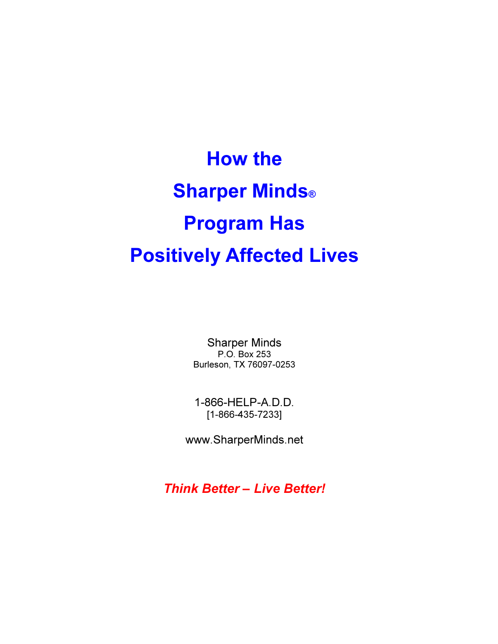How the **Sharper Minds®** Program Has Positively Affected Lives

> Sharper Minds P.O. Box 253 Burleson, TX 76097-0253

1-866-HELP-A.D.D. [1-866-435-7233]

www.SharperMinds.net

Think Better – Live Better!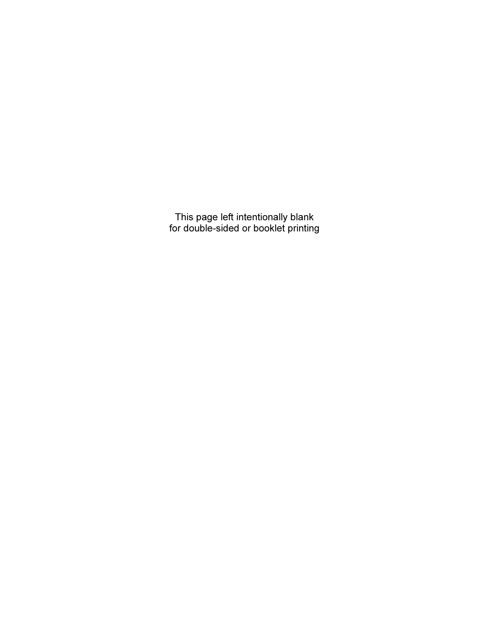This page left intentionally blank for double-sided or booklet printing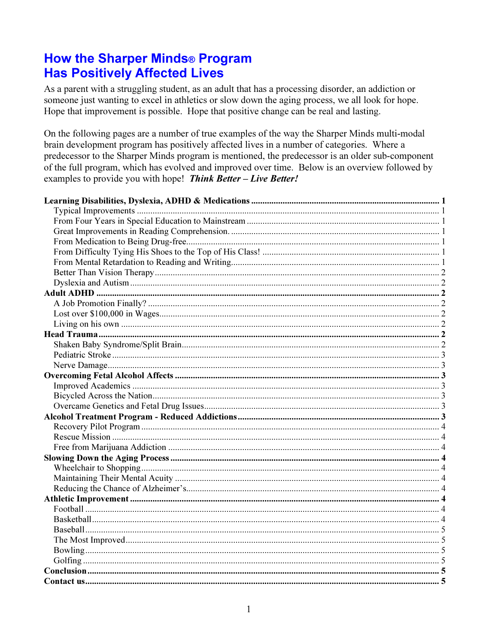# **How the Sharper Minds® Program Has Positively Affected Lives**

As a parent with a struggling student, as an adult that has a processing disorder, an addiction or someone just wanting to excel in athletics or slow down the aging process, we all look for hope. Hope that improvement is possible. Hope that positive change can be real and lasting.

On the following pages are a number of true examples of the way the Sharper Minds multi-modal brain development program has positively affected lives in a number of categories. Where a predecessor to the Sharper Minds program is mentioned, the predecessor is an older sub-component of the full program, which has evolved and improved over time. Below is an overview followed by examples to provide you with hope! Think Better - Live Better!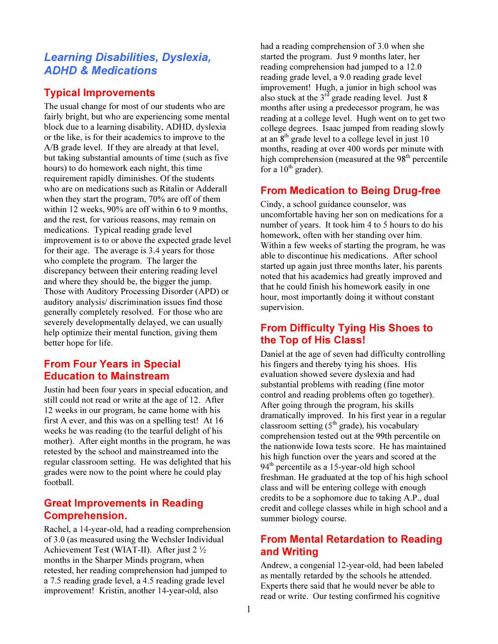# Learning Disabilities, Dyslexia, ADHD & Medications

# Typical Improvements

The usual change for most of our students who are fairly bright, but who are experiencing some mental block due to a learning disability, ADHD, dyslexia or the like, is for their academics to improve to the A/B grade level. If they are already at that level, but taking substantial amounts of time (such as five hours) to do homework each night, this time requirement rapidly diminishes. Of the students who are on medications such as Ritalin or Adderall when they start the program, 70% are off of them within 12 weeks, 90% are off within 6 to 9 months, and the rest, for various reasons, may remain on medications. Typical reading grade level improvement is to or above the expected grade level for their age. The average is 3.4 years for those who complete the program. The larger the discrepancy between their entering reading level and where they should be, the bigger the jump. Those with Auditory Processing Disorder (APD) or auditory analysis/ discrimination issues find those generally completely resolved. For those who are severely developmentally delayed, we can usually help optimize their mental function, giving them better hope for life.

# From Four Years in Special Education to Mainstream

Justin had been four years in special education, and still could not read or write at the age of 12. After 12 weeks in our program, he came home with his first A ever, and this was on a spelling test! At 16 weeks he was reading (to the tearful delight of his mother). After eight months in the program, he was retested by the school and mainstreamed into the regular classroom setting. He was delighted that his grades were now to the point where he could play football.

# Great Improvements in Reading Comprehension.

Rachel, a 14-year-old, had a reading comprehension of 3.0 (as measured using the Wechsler Individual Achievement Test (WIAT-II). After just 2 ½ months in the Sharper Minds program, when retested, her reading comprehension had jumped to a 7.5 reading grade level, a 4.5 reading grade level improvement! Kristin, another 14-year-old, also

had a reading comprehension of 3.0 when she started the program. Just 9 months later, her reading comprehension had jumped to a 12.0 reading grade level, a 9.0 reading grade level improvement! Hugh, a junior in high school was also stuck at the  $3<sup>rd</sup>$  grade reading level. Just 8 months after using a predecessor program, he was reading at a college level. Hugh went on to get two college degrees. Isaac jumped from reading slowly at an  $8<sup>th</sup>$  grade level to a college level in just 10 months, reading at over 400 words per minute with high comprehension (measured at the  $98<sup>th</sup>$  percentile for a  $10^{th}$  grader).

# From Medication to Being Drug-free

Cindy, a school guidance counselor, was uncomfortable having her son on medications for a number of years. It took him 4 to 5 hours to do his homework, often with her standing over him. Within a few weeks of starting the program, he was able to discontinue his medications. After school started up again just three months later, his parents noted that his academics had greatly improved and that he could finish his homework easily in one hour, most importantly doing it without constant supervision.

# From Difficulty Tying His Shoes to the Top of His Class!

Daniel at the age of seven had difficulty controlling his fingers and thereby tying his shoes. His evaluation showed severe dyslexia and had substantial problems with reading (fine motor control and reading problems often go together). After going through the program, his skills dramatically improved. In his first year in a regular classroom setting  $(5<sup>th</sup> \text{ grade})$ , his vocabulary comprehension tested out at the 99th percentile on the nationwide Iowa tests score. He has maintained his high function over the years and scored at the  $94<sup>th</sup>$  percentile as a 15-year-old high school freshman. He graduated at the top of his high school class and will be entering college with enough credits to be a sophomore due to taking A.P., dual credit and college classes while in high school and a summer biology course.

# From Mental Retardation to Reading and Writing

Andrew, a congenial 12-year-old, had been labeled as mentally retarded by the schools he attended. Experts there said that he would never be able to read or write. Our testing confirmed his cognitive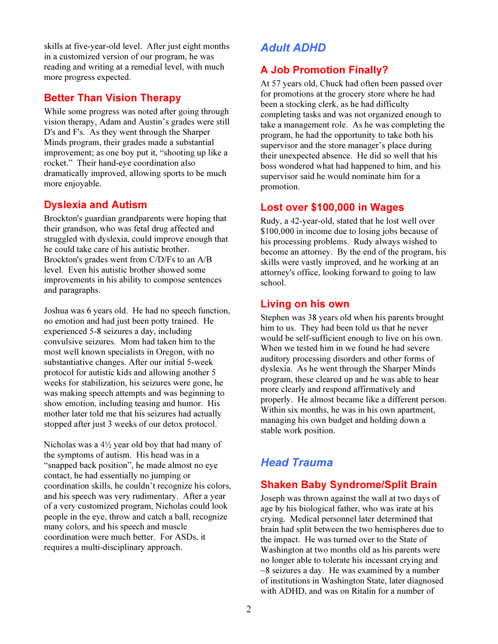skills at five-year-old level. After just eight months in a customized version of our program, he was reading and writing at a remedial level, with much more progress expected.

### Better Than Vision Therapy

While some progress was noted after going through vision therapy, Adam and Austin's grades were still D's and F's. As they went through the Sharper Minds program, their grades made a substantial improvement; as one boy put it, "shooting up like a rocket." Their hand-eye coordination also dramatically improved, allowing sports to be much more enjoyable.

# Dyslexia and Autism

Brockton's guardian grandparents were hoping that their grandson, who was fetal drug affected and struggled with dyslexia, could improve enough that he could take care of his autistic brother. Brockton's grades went from C/D/Fs to an A/B level. Even his autistic brother showed some improvements in his ability to compose sentences and paragraphs.

Joshua was 6 years old. He had no speech function, no emotion and had just been potty trained. He experienced 5-8 seizures a day, including convulsive seizures. Mom had taken him to the most well known specialists in Oregon, with no substantiative changes. After our initial 5-week protocol for autistic kids and allowing another 5 weeks for stabilization, his seizures were gone, he was making speech attempts and was beginning to show emotion, including teasing and humor. His mother later told me that his seizures had actually stopped after just 3 weeks of our detox protocol.

Nicholas was a 4½ year old boy that had many of the symptoms of autism. His head was in a "snapped back position", he made almost no eye contact, he had essentially no jumping or coordination skills, he couldn't recognize his colors, and his speech was very rudimentary. After a year of a very customized program, Nicholas could look people in the eye, throw and catch a ball, recognize many colors, and his speech and muscle coordination were much better. For ASDs, it requires a multi-disciplinary approach.

# Adult ADHD

# A Job Promotion Finally?

At 57 years old, Chuck had often been passed over for promotions at the grocery store where he had been a stocking clerk, as he had difficulty completing tasks and was not organized enough to take a management role. As he was completing the program, he had the opportunity to take both his supervisor and the store manager's place during their unexpected absence. He did so well that his boss wondered what had happened to him, and his supervisor said he would nominate him for a promotion.

### Lost over \$100,000 in Wages

Rudy, a 42-year-old, stated that he lost well over \$100,000 in income due to losing jobs because of his processing problems. Rudy always wished to become an attorney. By the end of the program, his skills were vastly improved, and he working at an attorney's office, looking forward to going to law school.

# Living on his own

Stephen was 38 years old when his parents brought him to us. They had been told us that he never would be self-sufficient enough to live on his own. When we tested him in we found he had severe auditory processing disorders and other forms of dyslexia. As he went through the Sharper Minds program, these cleared up and he was able to hear more clearly and respond affirmatively and properly. He almost became like a different person. Within six months, he was in his own apartment, managing his own budget and holding down a stable work position.

# Head Trauma

# Shaken Baby Syndrome/Split Brain

Joseph was thrown against the wall at two days of age by his biological father, who was irate at his crying. Medical personnel later determined that brain had split between the two hemispheres due to the impact. He was turned over to the State of Washington at two months old as his parents were no longer able to tolerate his incessant crying and  $\sim$ 8 seizures a day. He was examined by a number of institutions in Washington State, later diagnosed with ADHD, and was on Ritalin for a number of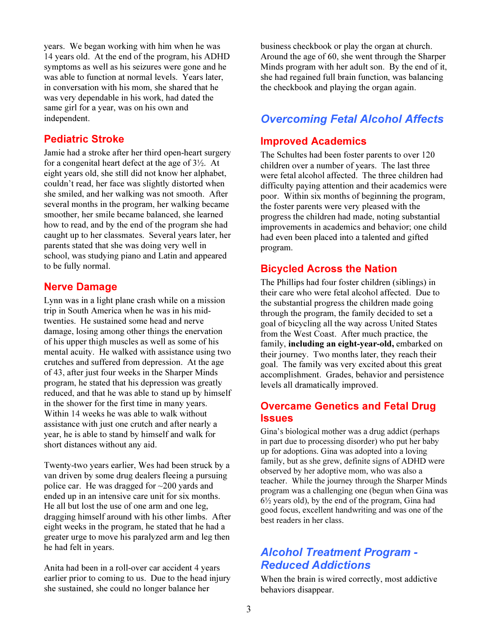years. We began working with him when he was 14 years old. At the end of the program, his ADHD symptoms as well as his seizures were gone and he was able to function at normal levels. Years later, in conversation with his mom, she shared that he was very dependable in his work, had dated the same girl for a year, was on his own and independent.

### Pediatric Stroke

Jamie had a stroke after her third open-heart surgery for a congenital heart defect at the age of 3½. At eight years old, she still did not know her alphabet, couldn't read, her face was slightly distorted when she smiled, and her walking was not smooth. After several months in the program, her walking became smoother, her smile became balanced, she learned how to read, and by the end of the program she had caught up to her classmates. Several years later, her parents stated that she was doing very well in school, was studying piano and Latin and appeared to be fully normal.

### Nerve Damage

Lynn was in a light plane crash while on a mission trip in South America when he was in his midtwenties. He sustained some head and nerve damage, losing among other things the enervation of his upper thigh muscles as well as some of his mental acuity. He walked with assistance using two crutches and suffered from depression. At the age of 43, after just four weeks in the Sharper Minds program, he stated that his depression was greatly reduced, and that he was able to stand up by himself in the shower for the first time in many years. Within 14 weeks he was able to walk without assistance with just one crutch and after nearly a year, he is able to stand by himself and walk for short distances without any aid.

Twenty-two years earlier, Wes had been struck by a van driven by some drug dealers fleeing a pursuing police car. He was dragged for ~200 yards and ended up in an intensive care unit for six months. He all but lost the use of one arm and one leg, dragging himself around with his other limbs. After eight weeks in the program, he stated that he had a greater urge to move his paralyzed arm and leg then he had felt in years.

Anita had been in a roll-over car accident 4 years earlier prior to coming to us. Due to the head injury she sustained, she could no longer balance her

business checkbook or play the organ at church. Around the age of 60, she went through the Sharper Minds program with her adult son. By the end of it, she had regained full brain function, was balancing the checkbook and playing the organ again.

# Overcoming Fetal Alcohol Affects

### Improved Academics

The Schultes had been foster parents to over 120 children over a number of years. The last three were fetal alcohol affected. The three children had difficulty paying attention and their academics were poor. Within six months of beginning the program, the foster parents were very pleased with the progress the children had made, noting substantial improvements in academics and behavior; one child had even been placed into a talented and gifted program.

### Bicycled Across the Nation

The Phillips had four foster children (siblings) in their care who were fetal alcohol affected. Due to the substantial progress the children made going through the program, the family decided to set a goal of bicycling all the way across United States from the West Coast. After much practice, the family, including an eight-year-old, embarked on their journey. Two months later, they reach their goal. The family was very excited about this great accomplishment. Grades, behavior and persistence levels all dramatically improved.

# Overcame Genetics and Fetal Drug **Issues**

Gina's biological mother was a drug addict (perhaps in part due to processing disorder) who put her baby up for adoptions. Gina was adopted into a loving family, but as she grew, definite signs of ADHD were observed by her adoptive mom, who was also a teacher. While the journey through the Sharper Minds program was a challenging one (begun when Gina was 6½ years old), by the end of the program, Gina had good focus, excellent handwriting and was one of the best readers in her class.

# Alcohol Treatment Program - Reduced Addictions

When the brain is wired correctly, most addictive behaviors disappear.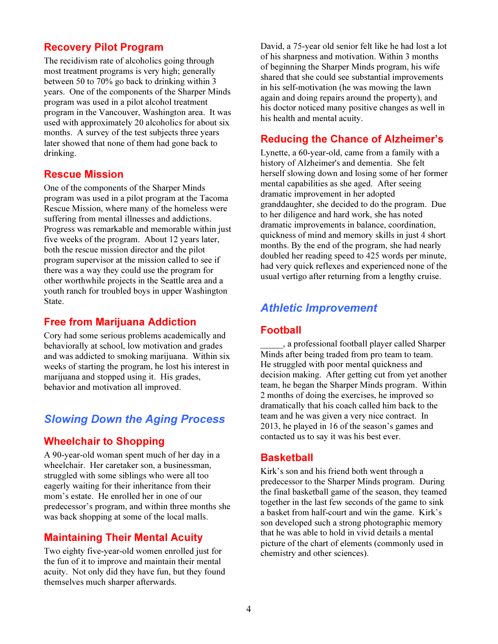# Recovery Pilot Program

The recidivism rate of alcoholics going through most treatment programs is very high; generally between 50 to 70% go back to drinking within 3 years. One of the components of the Sharper Minds program was used in a pilot alcohol treatment program in the Vancouver, Washington area. It was used with approximately 20 alcoholics for about six months. A survey of the test subjects three years later showed that none of them had gone back to drinking.

#### Rescue Mission

One of the components of the Sharper Minds program was used in a pilot program at the Tacoma Rescue Mission, where many of the homeless were suffering from mental illnesses and addictions. Progress was remarkable and memorable within just five weeks of the program. About 12 years later, both the rescue mission director and the pilot program supervisor at the mission called to see if there was a way they could use the program for other worthwhile projects in the Seattle area and a youth ranch for troubled boys in upper Washington State.

#### Free from Marijuana Addiction

Cory had some serious problems academically and behaviorally at school, low motivation and grades and was addicted to smoking marijuana. Within six weeks of starting the program, he lost his interest in marijuana and stopped using it. His grades, behavior and motivation all improved.

# Slowing Down the Aging Process

#### Wheelchair to Shopping

A 90-year-old woman spent much of her day in a wheelchair. Her caretaker son, a businessman, struggled with some siblings who were all too eagerly waiting for their inheritance from their mom's estate. He enrolled her in one of our predecessor's program, and within three months she was back shopping at some of the local malls.

### Maintaining Their Mental Acuity

Two eighty five-year-old women enrolled just for the fun of it to improve and maintain their mental acuity. Not only did they have fun, but they found themselves much sharper afterwards.

David, a 75-year old senior felt like he had lost a lot of his sharpness and motivation. Within 3 months of beginning the Sharper Minds program, his wife shared that she could see substantial improvements in his self-motivation (he was mowing the lawn again and doing repairs around the property), and his doctor noticed many positive changes as well in his health and mental acuity.

### Reducing the Chance of Alzheimer's

Lynette, a 60-year-old, came from a family with a history of Alzheimer's and dementia. She felt herself slowing down and losing some of her former mental capabilities as she aged. After seeing dramatic improvement in her adopted granddaughter, she decided to do the program. Due to her diligence and hard work, she has noted dramatic improvements in balance, coordination, quickness of mind and memory skills in just 4 short months. By the end of the program, she had nearly doubled her reading speed to 425 words per minute, had very quick reflexes and experienced none of the usual vertigo after returning from a lengthy cruise.

# Athletic Improvement

#### Football

\_\_\_\_\_, a professional football player called Sharper Minds after being traded from pro team to team. He struggled with poor mental quickness and decision making. After getting cut from yet another team, he began the Sharper Minds program. Within 2 months of doing the exercises, he improved so dramatically that his coach called him back to the team and he was given a very nice contract. In 2013, he played in 16 of the season's games and contacted us to say it was his best ever.

#### **Basketball**

Kirk's son and his friend both went through a predecessor to the Sharper Minds program. During the final basketball game of the season, they teamed together in the last few seconds of the game to sink a basket from half-court and win the game. Kirk's son developed such a strong photographic memory that he was able to hold in vivid details a mental picture of the chart of elements (commonly used in chemistry and other sciences).